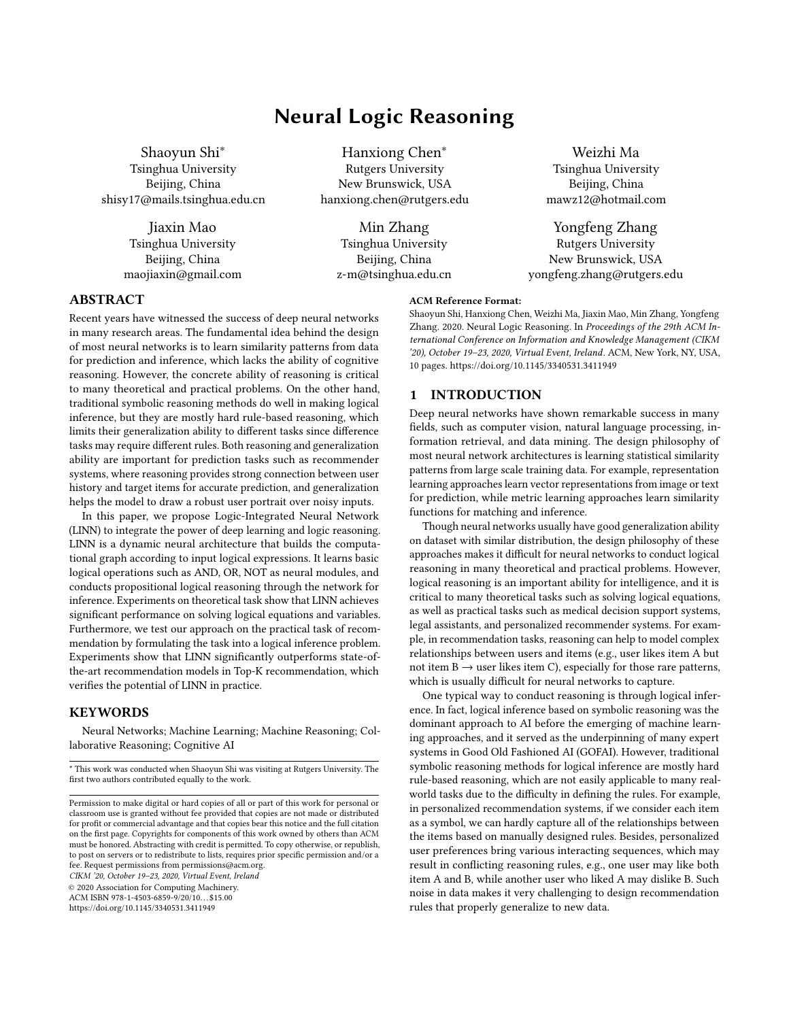# Neural Logic Reasoning

Shaoyun Shi<sup>∗</sup> Tsinghua University Beijing, China shisy17@mails.tsinghua.edu.cn

> Jiaxin Mao Tsinghua University Beijing, China maojiaxin@gmail.com

Hanxiong Chen<sup>∗</sup> Rutgers University New Brunswick, USA hanxiong.chen@rutgers.edu

> Min Zhang Tsinghua University Beijing, China z-m@tsinghua.edu.cn

Weizhi Ma Tsinghua University Beijing, China mawz12@hotmail.com

Yongfeng Zhang Rutgers University New Brunswick, USA yongfeng.zhang@rutgers.edu

#### ABSTRACT

Recent years have witnessed the success of deep neural networks in many research areas. The fundamental idea behind the design of most neural networks is to learn similarity patterns from data for prediction and inference, which lacks the ability of cognitive reasoning. However, the concrete ability of reasoning is critical to many theoretical and practical problems. On the other hand, traditional symbolic reasoning methods do well in making logical inference, but they are mostly hard rule-based reasoning, which limits their generalization ability to different tasks since difference tasks may require different rules. Both reasoning and generalization ability are important for prediction tasks such as recommender systems, where reasoning provides strong connection between user history and target items for accurate prediction, and generalization helps the model to draw a robust user portrait over noisy inputs.

In this paper, we propose Logic-Integrated Neural Network (LINN) to integrate the power of deep learning and logic reasoning. LINN is a dynamic neural architecture that builds the computational graph according to input logical expressions. It learns basic logical operations such as AND, OR, NOT as neural modules, and conducts propositional logical reasoning through the network for inference. Experiments on theoretical task show that LINN achieves significant performance on solving logical equations and variables. Furthermore, we test our approach on the practical task of recommendation by formulating the task into a logical inference problem. Experiments show that LINN significantly outperforms state-ofthe-art recommendation models in Top-K recommendation, which verifies the potential of LINN in practice.

## **KEYWORDS**

Neural Networks; Machine Learning; Machine Reasoning; Collaborative Reasoning; Cognitive AI

CIKM '20, October 19–23, 2020, Virtual Event, Ireland

© 2020 Association for Computing Machinery.

ACM ISBN 978-1-4503-6859-9/20/10. . . \$15.00

<https://doi.org/10.1145/3340531.3411949>

#### ACM Reference Format:

Shaoyun Shi, Hanxiong Chen, Weizhi Ma, Jiaxin Mao, Min Zhang, Yongfeng Zhang. 2020. Neural Logic Reasoning. In Proceedings of the 29th ACM International Conference on Information and Knowledge Management (CIKM '20), October 19–23, 2020, Virtual Event, Ireland. ACM, New York, NY, USA, [10](#page-9-0) pages.<https://doi.org/10.1145/3340531.3411949>

### 1 INTRODUCTION

Deep neural networks have shown remarkable success in many fields, such as computer vision, natural language processing, information retrieval, and data mining. The design philosophy of most neural network architectures is learning statistical similarity patterns from large scale training data. For example, representation learning approaches learn vector representations from image or text for prediction, while metric learning approaches learn similarity functions for matching and inference.

Though neural networks usually have good generalization ability on dataset with similar distribution, the design philosophy of these approaches makes it difficult for neural networks to conduct logical reasoning in many theoretical and practical problems. However, logical reasoning is an important ability for intelligence, and it is critical to many theoretical tasks such as solving logical equations, as well as practical tasks such as medical decision support systems, legal assistants, and personalized recommender systems. For example, in recommendation tasks, reasoning can help to model complex relationships between users and items (e.g., user likes item A but not item  $B \rightarrow$  user likes item C), especially for those rare patterns, which is usually difficult for neural networks to capture.

One typical way to conduct reasoning is through logical inference. In fact, logical inference based on symbolic reasoning was the dominant approach to AI before the emerging of machine learning approaches, and it served as the underpinning of many expert systems in Good Old Fashioned AI (GOFAI). However, traditional symbolic reasoning methods for logical inference are mostly hard rule-based reasoning, which are not easily applicable to many realworld tasks due to the difficulty in defining the rules. For example, in personalized recommendation systems, if we consider each item as a symbol, we can hardly capture all of the relationships between the items based on manually designed rules. Besides, personalized user preferences bring various interacting sequences, which may result in conflicting reasoning rules, e.g., one user may like both item A and B, while another user who liked A may dislike B. Such noise in data makes it very challenging to design recommendation rules that properly generalize to new data.

<sup>\*</sup> This work was conducted when Shaoyun Shi was visiting at Rutgers University. The first two authors contributed equally to the work.

Permission to make digital or hard copies of all or part of this work for personal or classroom use is granted without fee provided that copies are not made or distributed for profit or commercial advantage and that copies bear this notice and the full citation on the first page. Copyrights for components of this work owned by others than ACM must be honored. Abstracting with credit is permitted. To copy otherwise, or republish, to post on servers or to redistribute to lists, requires prior specific permission and/or a fee. Request permissions from permissions@acm.org.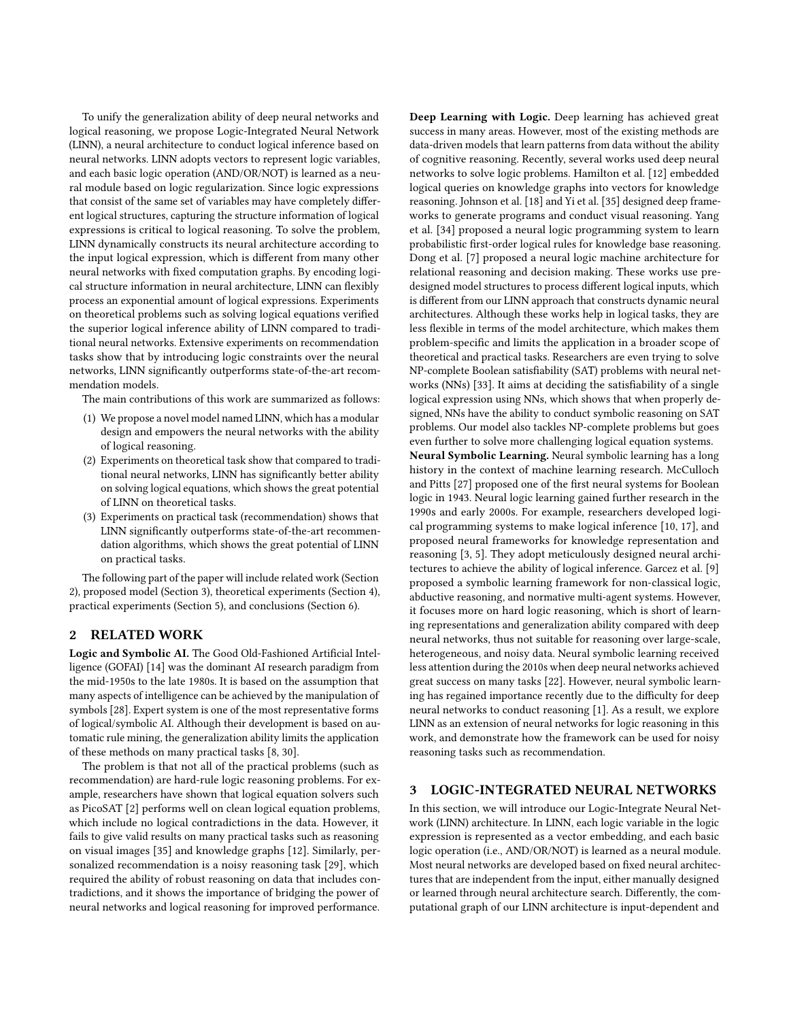To unify the generalization ability of deep neural networks and logical reasoning, we propose Logic-Integrated Neural Network (LINN), a neural architecture to conduct logical inference based on neural networks. LINN adopts vectors to represent logic variables, and each basic logic operation (AND/OR/NOT) is learned as a neural module based on logic regularization. Since logic expressions that consist of the same set of variables may have completely different logical structures, capturing the structure information of logical expressions is critical to logical reasoning. To solve the problem, LINN dynamically constructs its neural architecture according to the input logical expression, which is different from many other neural networks with fixed computation graphs. By encoding logical structure information in neural architecture, LINN can flexibly process an exponential amount of logical expressions. Experiments on theoretical problems such as solving logical equations verified the superior logical inference ability of LINN compared to traditional neural networks. Extensive experiments on recommendation tasks show that by introducing logic constraints over the neural networks, LINN significantly outperforms state-of-the-art recommendation models.

The main contributions of this work are summarized as follows:

- (1) We propose a novel model named LINN, which has a modular design and empowers the neural networks with the ability of logical reasoning.
- (2) Experiments on theoretical task show that compared to traditional neural networks, LINN has significantly better ability on solving logical equations, which shows the great potential of LINN on theoretical tasks.
- (3) Experiments on practical task (recommendation) shows that LINN significantly outperforms state-of-the-art recommendation algorithms, which shows the great potential of LINN on practical tasks.

The following part of the paper will include related work (Section [2\)](#page-1-0), proposed model (Section [3\)](#page-1-1), theoretical experiments (Section [4\)](#page-4-0), practical experiments (Section [5\)](#page-5-0), and conclusions (Section [6\)](#page-9-1).

## <span id="page-1-0"></span>2 RELATED WORK

Logic and Symbolic AI. The Good Old-Fashioned Artificial Intelligence (GOFAI) [\[14\]](#page-9-2) was the dominant AI research paradigm from the mid-1950s to the late 1980s. It is based on the assumption that many aspects of intelligence can be achieved by the manipulation of symbols [\[28\]](#page-9-3). Expert system is one of the most representative forms of logical/symbolic AI. Although their development is based on automatic rule mining, the generalization ability limits the application of these methods on many practical tasks [\[8,](#page-9-4) [30\]](#page-9-5).

The problem is that not all of the practical problems (such as recommendation) are hard-rule logic reasoning problems. For example, researchers have shown that logical equation solvers such as PicoSAT [\[2\]](#page-9-6) performs well on clean logical equation problems, which include no logical contradictions in the data. However, it fails to give valid results on many practical tasks such as reasoning on visual images [\[35\]](#page-9-7) and knowledge graphs [\[12\]](#page-9-8). Similarly, personalized recommendation is a noisy reasoning task [\[29\]](#page-9-9), which required the ability of robust reasoning on data that includes contradictions, and it shows the importance of bridging the power of neural networks and logical reasoning for improved performance.

Deep Learning with Logic. Deep learning has achieved great success in many areas. However, most of the existing methods are data-driven models that learn patterns from data without the ability of cognitive reasoning. Recently, several works used deep neural networks to solve logic problems. Hamilton et al. [\[12\]](#page-9-8) embedded logical queries on knowledge graphs into vectors for knowledge reasoning. Johnson et al. [\[18\]](#page-9-10) and Yi et al. [\[35\]](#page-9-7) designed deep frameworks to generate programs and conduct visual reasoning. Yang et al. [\[34\]](#page-9-11) proposed a neural logic programming system to learn probabilistic first-order logical rules for knowledge base reasoning. Dong et al. [\[7\]](#page-9-12) proposed a neural logic machine architecture for relational reasoning and decision making. These works use predesigned model structures to process different logical inputs, which is different from our LINN approach that constructs dynamic neural architectures. Although these works help in logical tasks, they are less flexible in terms of the model architecture, which makes them problem-specific and limits the application in a broader scope of theoretical and practical tasks. Researchers are even trying to solve NP-complete Boolean satisfiability (SAT) problems with neural networks (NNs) [\[33\]](#page-9-13). It aims at deciding the satisfiability of a single logical expression using NNs, which shows that when properly designed, NNs have the ability to conduct symbolic reasoning on SAT problems. Our model also tackles NP-complete problems but goes even further to solve more challenging logical equation systems.

Neural Symbolic Learning. Neural symbolic learning has a long history in the context of machine learning research. McCulloch and Pitts [\[27\]](#page-9-14) proposed one of the first neural systems for Boolean logic in [1943.](#page-9-14) Neural logic learning gained further research in the 1990s and early 2000s. For example, researchers developed logical programming systems to make logical inference [\[10,](#page-9-15) [17\]](#page-9-16), and proposed neural frameworks for knowledge representation and reasoning [\[3,](#page-9-17) [5\]](#page-9-18). They adopt meticulously designed neural architectures to achieve the ability of logical inference. Garcez et al. [\[9\]](#page-9-19) proposed a symbolic learning framework for non-classical logic, abductive reasoning, and normative multi-agent systems. However, it focuses more on hard logic reasoning, which is short of learning representations and generalization ability compared with deep neural networks, thus not suitable for reasoning over large-scale, heterogeneous, and noisy data. Neural symbolic learning received less attention during the 2010s when deep neural networks achieved great success on many tasks [\[22\]](#page-9-20). However, neural symbolic learning has regained importance recently due to the difficulty for deep neural networks to conduct reasoning [\[1\]](#page-9-21). As a result, we explore LINN as an extension of neural networks for logic reasoning in this work, and demonstrate how the framework can be used for noisy reasoning tasks such as recommendation.

## <span id="page-1-1"></span>3 LOGIC-INTEGRATED NEURAL NETWORKS

In this section, we will introduce our Logic-Integrate Neural Network (LINN) architecture. In LINN, each logic variable in the logic expression is represented as a vector embedding, and each basic logic operation (i.e., AND/OR/NOT) is learned as a neural module. Most neural networks are developed based on fixed neural architectures that are independent from the input, either manually designed or learned through neural architecture search. Differently, the computational graph of our LINN architecture is input-dependent and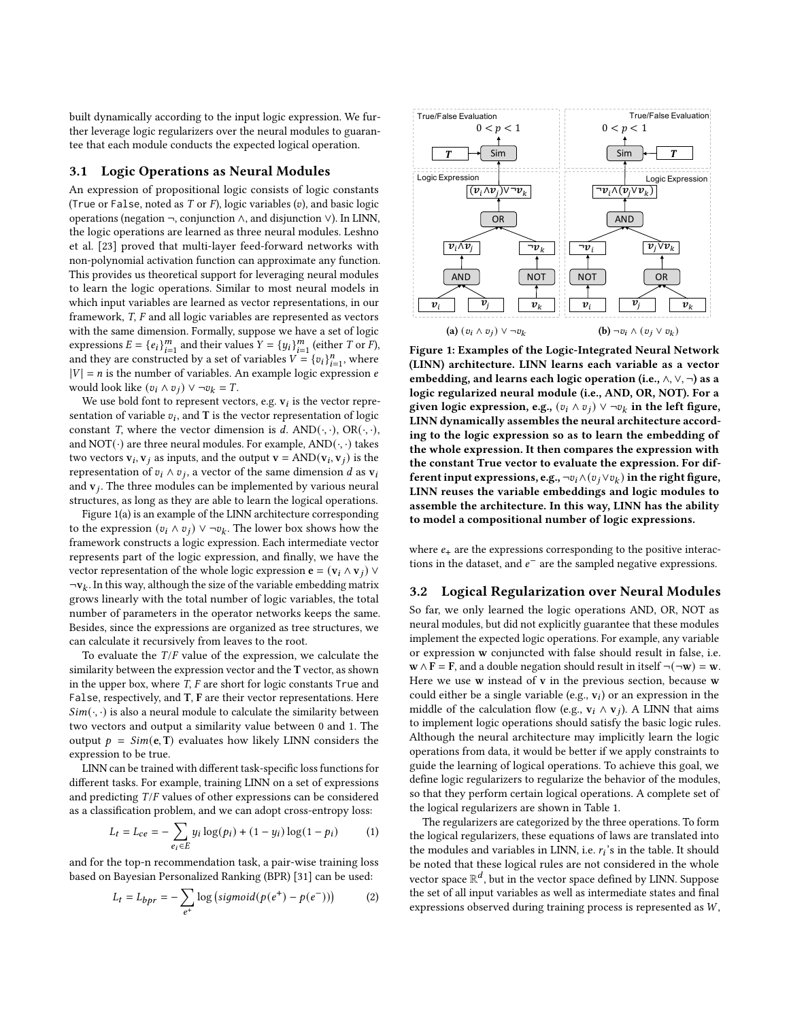built dynamically according to the input logic expression. We further leverage logic regularizers over the neural modules to guarantee that each module conducts the expected logical operation.

## 3.1 Logic Operations as Neural Modules

An expression of propositional logic consists of logic constants (True or False, noted as  $T$  or  $F$ ), logic variables  $(v)$ , and basic logic operations (negation ¬, conjunction ∧, and disjunction ∨). In LINN, the logic operations are learned as three neural modules. [Leshno](#page-9-22) [et al.](#page-9-22) [\[23\]](#page-9-22) proved that multi-layer feed-forward networks with non-polynomial activation function can approximate any function. This provides us theoretical support for leveraging neural modules to learn the logic operations. Similar to most neural models in which input variables are learned as vector representations, in our framework, T, F and all logic variables are represented as vectors with the same dimension. Formally, suppose we have a set of logic expressions  $E = \{e_i\}_{i=1}^m$  and their values  $Y = \{y_i\}_{i=1}^m$  (either T or F), and they are constructed by a set of variables  $V = \{v_i\}_{i=1}^n$ , where  $|V| = n$  is the number of variables. An example logic expression e would look like  $(v_i \wedge v_j) \vee \neg v_k = T$ .

We use bold font to represent vectors, e.g.  $\mathbf{v}_i$  is the vector representation of variable  $v_i$ , and T is the vector representation of logic constant T, where the vector dimension is d.  $AND(\cdot, \cdot)$ ,  $OR(\cdot, \cdot)$ , and NOT( $\cdot$ ) are three neural modules. For example,  $AND(\cdot, \cdot)$  takes two vectors  $\mathbf{v}_i$ ,  $\mathbf{v}_j$  as inputs, and the output  $\mathbf{v} = \text{AND}(\mathbf{v}_i, \mathbf{v}_j)$  is the representation of  $v_i \wedge v_j$ , a vector of the same dimension d as  $v_i$ and  $v_j$ . The three modules can be implemented by various neural structures, as long as they are able to learn the logical operations.

Figure [1\(](#page-2-0)a) is an example of the LINN architecture corresponding to the expression  $(v_i \wedge v_j) \vee \neg v_k$ . The lower box shows how the framework constructs a logic expression. Each intermediate vector represents part of the logic expression, and finally, we have the vector representation of the whole logic expression  $\mathbf{e} = (\mathbf{v}_i \wedge \mathbf{v}_i) \vee$  $\neg$ v<sub>k</sub>. In this way, although the size of the variable embedding matrix grows linearly with the total number of logic variables, the total number of parameters in the operator networks keeps the same. Besides, since the expressions are organized as tree structures, we can calculate it recursively from leaves to the root.

To evaluate the  $T/F$  value of the expression, we calculate the similarity between the expression vector and the T vector, as shown in the upper box, where  $T$ ,  $F$  are short for logic constants  $True$  and False, respectively, and T, F are their vector representations. Here  $Sim(\cdot, \cdot)$  is also a neural module to calculate the similarity between two vectors and output a similarity value between 0 and 1. The output  $p = Sim(e, T)$  evaluates how likely LINN considers the expression to be true.

LINN can be trained with different task-specific loss functions for different tasks. For example, training LINN on a set of expressions and predicting T/F values of other expressions can be considered as a classification problem, and we can adopt cross-entropy loss:

<span id="page-2-1"></span>
$$
L_t = L_{ce} = -\sum_{e_i \in E} y_i \log(p_i) + (1 - y_i) \log(1 - p_i)
$$
 (1)

and for the top-n recommendation task, a pair-wise training loss based on Bayesian Personalized Ranking (BPR) [\[31\]](#page-9-23) can be used:

$$
L_t = L_{bpr} = -\sum_{e^+} \log\left(\text{sigmoid}(p(e^+) - p(e^-))\right) \tag{2}
$$

<span id="page-2-0"></span>

Figure 1: Examples of the Logic-Integrated Neural Network (LINN) architecture. LINN learns each variable as a vector embedding, and learns each logic operation (i.e.,  $\wedge$ ,  $\vee$ ,  $\neg$ ) as a logic regularized neural module (i.e., AND, OR, NOT). For a given logic expression, e.g.,  $(v_i \wedge v_j) \vee \neg v_k$  in the left figure, LINN dynamically assembles the neural architecture according to the logic expression so as to learn the embedding of the whole expression. It then compares the expression with the constant True vector to evaluate the expression. For different input expressions, e.g., ¬ $v_i \wedge (v_j \vee v_k)$  in the right figure, LINN reuses the variable embeddings and logic modules to assemble the architecture. In this way, LINN has the ability to model a compositional number of logic expressions.

where  $e_{+}$  are the expressions corresponding to the positive interactions in the dataset, and  $e^-$  are the sampled negative expressions.

## 3.2 Logical Regularization over Neural Modules

So far, we only learned the logic operations AND, OR, NOT as neural modules, but did not explicitly guarantee that these modules implement the expected logic operations. For example, any variable or expression w conjuncted with false should result in false, i.e.  $\mathbf{w} \wedge \mathbf{F} = \mathbf{F}$ , and a double negation should result in itself  $\neg(\neg \mathbf{w}) = \mathbf{w}$ . Here we use w instead of v in the previous section, because w could either be a single variable (e.g.,  $v_i$ ) or an expression in the middle of the calculation flow (e.g.,  $v_i \wedge v_j$ ). A LINN that aims to implement logic operations should satisfy the basic logic rules. Although the neural architecture may implicitly learn the logic operations from data, it would be better if we apply constraints to guide the learning of logical operations. To achieve this goal, we define logic regularizers to regularize the behavior of the modules, so that they perform certain logical operations. A complete set of the logical regularizers are shown in Table [1.](#page-3-0)

The regularizers are categorized by the three operations. To form the logical regularizers, these equations of laws are translated into the modules and variables in LINN, i.e.  $r_i$ 's in the table. It should be noted that these logical rules are not considered in the whole vector space  $\mathbb{R}^d$ , but in the vector space defined by LINN. Suppose the set of all input variables as well as intermediate states and final expressions observed during training process is represented as  $W$ ,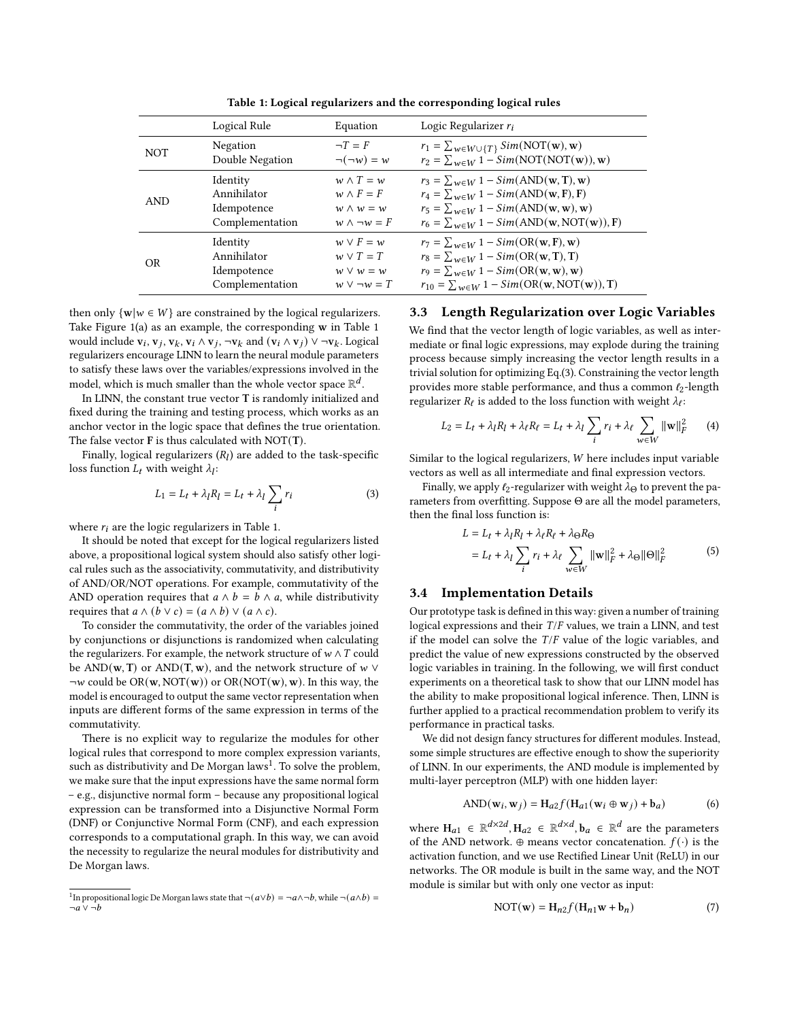<span id="page-3-0"></span>

|            | Logical Rule    | Equation              | Logic Regularizer $r_i$                                                                    |
|------------|-----------------|-----------------------|--------------------------------------------------------------------------------------------|
| <b>NOT</b> | Negation        | $\neg T = F$          | $r_1 = \sum_{w \in W \cup \{T\}} Sim(NOT(w), w)$                                           |
|            | Double Negation | $\neg(\neg w) = w$    | $r_2 = \sum_{w \in W} 1 - Sim(NOT(NOT(w)), w)$                                             |
| <b>AND</b> | Identity        | $w \wedge T = w$      | $r_3 = \sum_{w \in W} 1 - Sim(\text{AND}(\mathbf{w}, \mathbf{T}), \mathbf{w})$             |
|            | Annihilator     | $w \wedge F = F$      | $r_4 = \sum_{w \in W} 1 - Sim(\text{AND}(\mathbf{w}, \mathbf{F}), \mathbf{F})$             |
|            | Idempotence     | $w \wedge w = w$      | $r_5 = \sum_{w \in W} 1 - Sim(\text{AND}(\mathbf{w}, \mathbf{w}), \mathbf{w})$             |
|            | Complementation | $w \wedge \neg w = F$ | $r_6 = \sum_{w \in W} 1 - Sim(\text{AND}(\mathbf{w}, \text{NOT}(\mathbf{w})), \mathbf{F})$ |
| <b>OR</b>  | Identity        | $w \vee F = w$        | $r_7 = \sum_{w \in W} 1 - Sim(OR(w, F), w)$                                                |
|            | Annihilator     | $w \vee T = T$        | $r_8 = \sum_{w \in W} 1 - Sim(OR(w, T), T)$                                                |
|            | Idempotence     | $w \vee w = w$        | $r_9 = \sum_{w \in W} 1 - Sim(OR(w, w), w)$                                                |
|            | Complementation | $w \vee \neg w = T$   | $r_{10} = \sum_{w \in W} 1 - Sim(OR(w, NOT(w)), T)$                                        |

Table 1: Logical regularizers and the corresponding logical rules

then only  $\{w | w \in W\}$  are constrained by the logical regularizers. Take Figure [1\(](#page-2-0)a) as an example, the corresponding w in Table [1](#page-3-0) would include  $\mathbf{v}_i$ ,  $\mathbf{v}_j$ ,  $\mathbf{v}_k$ ,  $\mathbf{v}_i \wedge \mathbf{v}_j$ ,  $\neg \mathbf{v}_k$  and  $(\mathbf{v}_i \wedge \mathbf{v}_j) \vee \neg \mathbf{v}_k$ . Logical regularizers encourage LINN to learn the neural module parameters to satisfy these laws over the variables/expressions involved in the model, which is much smaller than the whole vector space  $\mathbb{R}^d$ .

In LINN, the constant true vector T is randomly initialized and fixed during the training and testing process, which works as an anchor vector in the logic space that defines the true orientation. The false vector F is thus calculated with NOT(T).

Finally, logical regularizers  $(R_l)$  are added to the task-specific loss function  $L_t$  with weight  $\lambda_l$ :

<span id="page-3-2"></span>
$$
L_1 = L_t + \lambda_l R_l = L_t + \lambda_l \sum_i r_i \tag{3}
$$

where  $r_i$  are the logic regularizers in Table [1.](#page-3-0)

It should be noted that except for the logical regularizers listed above, a propositional logical system should also satisfy other logical rules such as the associativity, commutativity, and distributivity of AND/OR/NOT operations. For example, commutativity of the AND operation requires that  $a \wedge b = b \wedge a$ , while distributivity requires that  $a \wedge (b \vee c) = (a \wedge b) \vee (a \wedge c)$ .

To consider the commutativity, the order of the variables joined by conjunctions or disjunctions is randomized when calculating the regularizers. For example, the network structure of  $w \wedge T$  could be AND(w, T) or AND(T, w), and the network structure of  $w \vee$  $\neg w$  could be OR(w, NOT(w)) or OR(NOT(w), w). In this way, the model is encouraged to output the same vector representation when inputs are different forms of the same expression in terms of the commutativity.

There is no explicit way to regularize the modules for other logical rules that correspond to more complex expression variants, such as distributivity and De Morgan laws<sup>[1](#page-3-1)</sup>. To solve the problem, we make sure that the input expressions have the same normal form – e.g., disjunctive normal form – because any propositional logical expression can be transformed into a Disjunctive Normal Form (DNF) or Conjunctive Normal Form (CNF), and each expression corresponds to a computational graph. In this way, we can avoid the necessity to regularize the neural modules for distributivity and De Morgan laws.

#### 3.3 Length Regularization over Logic Variables

We find that the vector length of logic variables, as well as intermediate or final logic expressions, may explode during the training process because simply increasing the vector length results in a trivial solution for optimizing Eq.[\(3\)](#page-3-2). Constraining the vector length provides more stable performance, and thus a common  $l_2$ -length regularizer  $R_\ell$  is added to the loss function with weight  $\lambda_\ell$ :

$$
L_2 = L_t + \lambda_l R_l + \lambda_\ell R_\ell = L_t + \lambda_l \sum_i r_i + \lambda_\ell \sum_{w \in W} ||w||_F^2 \qquad (4)
$$

Similar to the logical regularizers,  $W$  here includes input variable vectors as well as all intermediate and final expression vectors.

Finally, we apply  $\ell_2$ -regularizer with weight  $\lambda_{\Theta}$  to prevent the parameters from overfitting. Suppose Θ are all the model parameters, then the final loss function is:

$$
L = L_t + \lambda_l R_l + \lambda_\ell R_\ell + \lambda_\Theta R_\Theta
$$
  
=  $L_t + \lambda_l \sum_i r_i + \lambda_\ell \sum_{w \in W} ||\mathbf{w}||_F^2 + \lambda_\Theta ||\Theta||_F^2$  (5)

#### 3.4 Implementation Details

Our prototype task is defined in this way: given a number of training logical expressions and their  $T/F$  values, we train a LINN, and test if the model can solve the  $T/F$  value of the logic variables, and predict the value of new expressions constructed by the observed logic variables in training. In the following, we will first conduct experiments on a theoretical task to show that our LINN model has the ability to make propositional logical inference. Then, LINN is further applied to a practical recommendation problem to verify its performance in practical tasks.

We did not design fancy structures for different modules. Instead, some simple structures are effective enough to show the superiority of LINN. In our experiments, the AND module is implemented by multi-layer perceptron (MLP) with one hidden layer:

$$
AND(\mathbf{w}_i, \mathbf{w}_j) = H_{a2} f(H_{a1}(\mathbf{w}_i \oplus \mathbf{w}_j) + \mathbf{b}_a)
$$
 (6)

where  $H_{a1} \in \mathbb{R}^{d \times 2d}$ ,  $H_{a2} \in \mathbb{R}^{d \times d}$ ,  $b_a \in \mathbb{R}^d$  are the parameters of the AND network. ⊕ means vector concatenation.  $f(\cdot)$  is the activation function, and we use Rectified Linear Unit (ReLU) in our networks. The OR module is built in the same way, and the NOT module is similar but with only one vector as input:

$$
NOT(w) = H_{n2}f(H_{n1}w + b_n)
$$
 (7)

<span id="page-3-1"></span><sup>&</sup>lt;sup>1</sup>In propositional logic De Morgan laws state that  $\neg(a \lor b) = \neg a \land \neg b$ , while  $\neg(a \land b) =$  $\neg a \vee \neg b$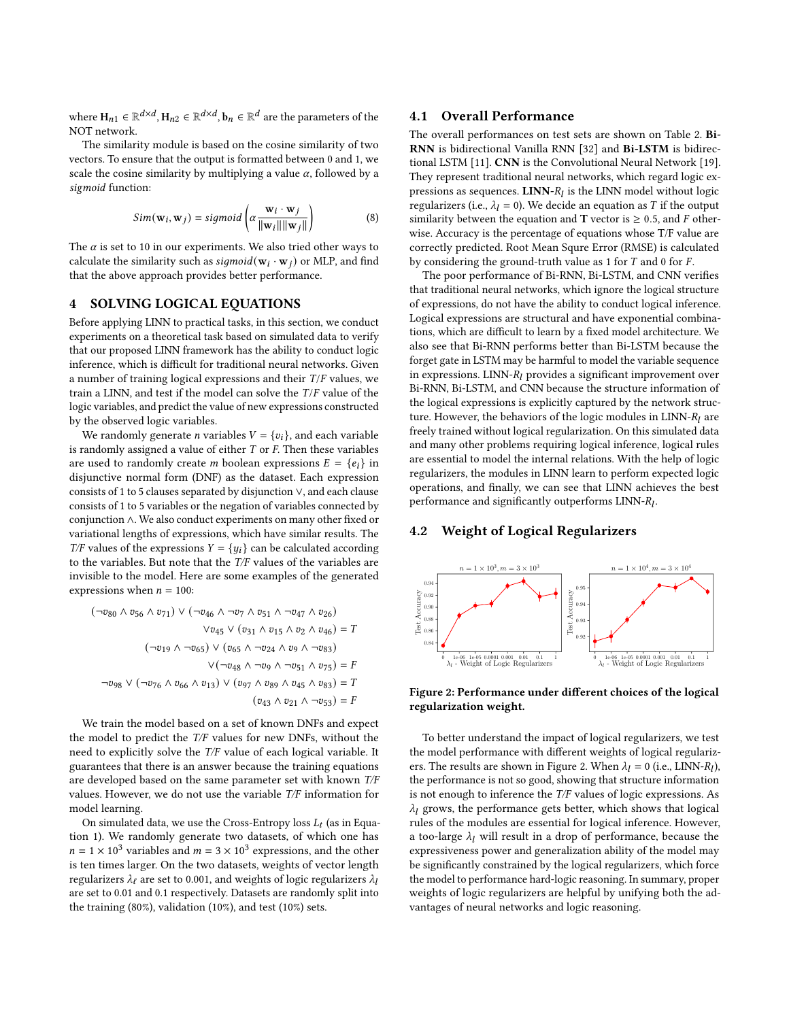where  $\mathbf{H}_{n1} \in \mathbb{R}^{d \times d}$ ,  $\mathbf{H}_{n2} \in \mathbb{R}^{d \times d}$ ,  $\mathbf{b}_n \in \mathbb{R}^{d}$  are the parameters of the NOT network.

The similarity module is based on the cosine similarity of two vectors. To ensure that the output is formatted between 0 and 1, we scale the cosine similarity by multiplying a value  $\alpha$ , followed by a sigmoid function:

$$
Sim(\mathbf{w}_i, \mathbf{w}_j) = sigmoid\left(\alpha \frac{\mathbf{w}_i \cdot \mathbf{w}_j}{\|\mathbf{w}_i\| \|\mathbf{w}_j\|}\right) \tag{8}
$$

The  $\alpha$  is set to 10 in our experiments. We also tried other ways to calculate the similarity such as  $sigmoid(\mathbf{w}_i \cdot \mathbf{w}_j)$  or MLP, and find that the above approach provides better performance.

## <span id="page-4-0"></span>4 SOLVING LOGICAL EQUATIONS

Before applying LINN to practical tasks, in this section, we conduct experiments on a theoretical task based on simulated data to verify that our proposed LINN framework has the ability to conduct logic inference, which is difficult for traditional neural networks. Given a number of training logical expressions and their  $T/F$  values, we train a LINN, and test if the model can solve the  $T/F$  value of the logic variables, and predict the value of new expressions constructed by the observed logic variables.

We randomly generate *n* variables  $V = \{v_i\}$ , and each variable is randomly assigned a value of either  $T$  or  $F$ . Then these variables are used to randomly create *m* boolean expressions  $E = \{e_i\}$  in disjunctive normal form (DNF) as the dataset. Each expression consists of 1 to 5 clauses separated by disjunction ∨, and each clause consists of 1 to 5 variables or the negation of variables connected by conjunction ∧. We also conduct experiments on many other fixed or variational lengths of expressions, which have similar results. The  $T/F$  values of the expressions  $Y = \{y_i\}$  can be calculated according to the variables. But note that the T/F values of the variables are invisible to the model. Here are some examples of the generated expressions when  $n = 100$ :

$$
(\neg v_{80} \land v_{56} \land v_{71}) \lor (\neg v_{46} \land \neg v_{7} \land v_{51} \land \neg v_{47} \land v_{26})
$$
  

$$
\lor v_{45} \lor (v_{31} \land v_{15} \land v_{2} \land v_{46}) = T
$$
  

$$
(\neg v_{19} \land \neg v_{65}) \lor (v_{65} \land \neg v_{24} \land v_{9} \land \neg v_{83})
$$
  

$$
\lor (\neg v_{48} \land \neg v_{9} \land \neg v_{51} \land v_{75}) = F
$$
  

$$
\neg v_{98} \lor (\neg v_{76} \land v_{66} \land v_{13}) \lor (v_{97} \land v_{89} \land v_{45} \land v_{83}) = T
$$
  

$$
(v_{43} \land v_{21} \land \neg v_{53}) = F
$$

We train the model based on a set of known DNFs and expect the model to predict the T/F values for new DNFs, without the need to explicitly solve the T/F value of each logical variable. It guarantees that there is an answer because the training equations are developed based on the same parameter set with known T/F values. However, we do not use the variable T/F information for model learning.

On simulated data, we use the Cross-Entropy loss  $L_t$  (as in Equation [1\)](#page-2-1). We randomly generate two datasets, of which one has  $n = 1 \times 10^3$  variables and  $m = 3 \times 10^3$  expressions, and the other is ten times larger. On the two datasets, weights of vector length regularizers  $\lambda_{\ell}$  are set to 0.001, and weights of logic regularizers  $\lambda_{l}$ are set to 0.01 and 0.1 respectively. Datasets are randomly split into the training (80%), validation (10%), and test (10%) sets.

#### 4.1 Overall Performance

The overall performances on test sets are shown on Table [2.](#page-5-1) Bi-RNN is bidirectional Vanilla RNN [\[32\]](#page-9-24) and Bi-LSTM is bidirectional LSTM [\[11\]](#page-9-25). CNN is the Convolutional Neural Network [\[19\]](#page-9-26). They represent traditional neural networks, which regard logic expressions as sequences. LINN- $R_l$  is the LINN model without logic regularizers (i.e.,  $\lambda_l = 0$ ). We decide an equation as T if the output similarity between the equation and **T** vector is  $\geq$  0.5, and *F* otherwise. Accuracy is the percentage of equations whose T/F value are correctly predicted. Root Mean Squre Error (RMSE) is calculated by considering the ground-truth value as 1 for  $T$  and 0 for  $F$ .

The poor performance of Bi-RNN, Bi-LSTM, and CNN verifies that traditional neural networks, which ignore the logical structure of expressions, do not have the ability to conduct logical inference. Logical expressions are structural and have exponential combinations, which are difficult to learn by a fixed model architecture. We also see that Bi-RNN performs better than Bi-LSTM because the forget gate in LSTM may be harmful to model the variable sequence in expressions. LINN- $R_l$  provides a significant improvement over Bi-RNN, Bi-LSTM, and CNN because the structure information of the logical expressions is explicitly captured by the network structure. However, the behaviors of the logic modules in LINN- $R_I$  are freely trained without logical regularization. On this simulated data and many other problems requiring logical inference, logical rules are essential to model the internal relations. With the help of logic regularizers, the modules in LINN learn to perform expected logic operations, and finally, we can see that LINN achieves the best performance and significantly outperforms  $LINN-R_l$ .

## 4.2 Weight of Logical Regularizers

<span id="page-4-1"></span>

Figure 2: Performance under different choices of the logical regularization weight.

To better understand the impact of logical regularizers, we test the model performance with different weights of logical regulariz-ers. The results are shown in Figure [2.](#page-4-1) When  $\lambda_l = 0$  (i.e., LINN- $R_l$ ), the performance is not so good, showing that structure information is not enough to inference the T/F values of logic expressions. As  $\lambda_l$  grows, the performance gets better, which shows that logical rules of the modules are essential for logical inference. However, a too-large  $\lambda_l$  will result in a drop of performance, because the expressiveness power and generalization ability of the model may be significantly constrained by the logical regularizers, which force the model to performance hard-logic reasoning. In summary, proper weights of logic regularizers are helpful by unifying both the advantages of neural networks and logic reasoning.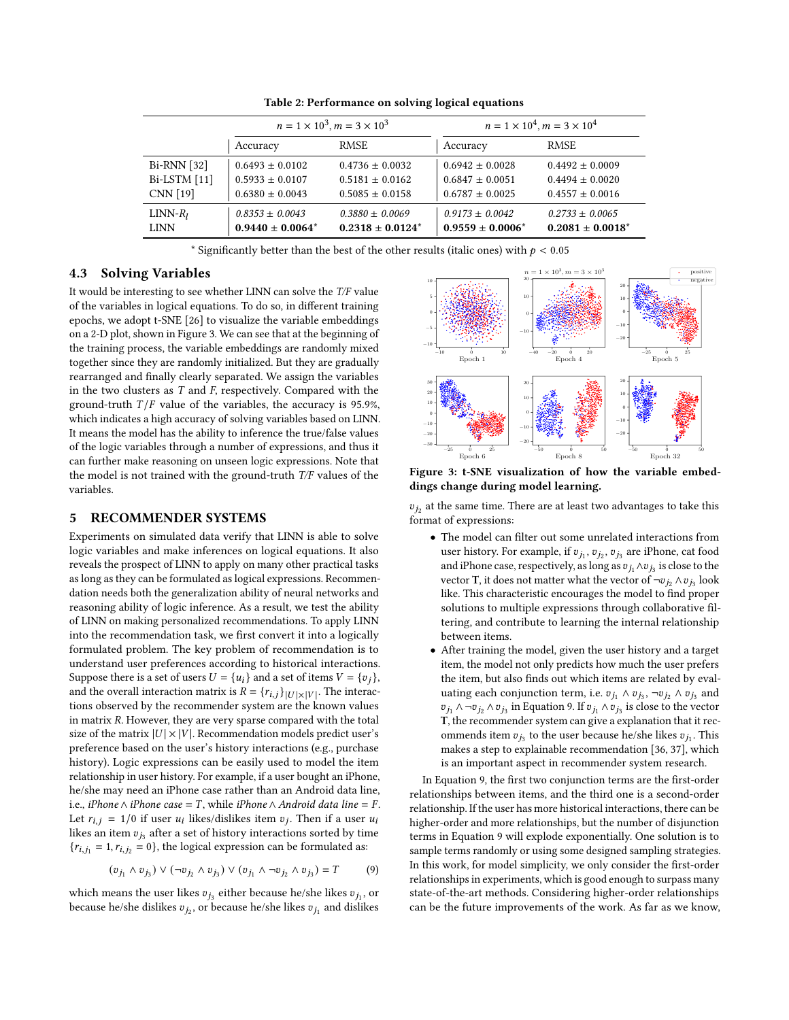<span id="page-5-1"></span>

|               | $n = 1 \times 10^3, m = 3 \times 10^3$ |                       | $n = 1 \times 10^4, m = 3 \times 10^4$ |                       |  |
|---------------|----------------------------------------|-----------------------|----------------------------------------|-----------------------|--|
|               | Accuracy                               | <b>RMSE</b>           | Accuracy                               | <b>RMSE</b>           |  |
| $Bi-RNN$ [32] | $0.6493 \pm 0.0102$                    | $0.4736 \pm 0.0032$   | $0.6942 \pm 0.0028$                    | $0.4492 \pm 0.0009$   |  |
| Bi-LSTM [11]  | $0.5933 \pm 0.0107$                    | $0.5181 \pm 0.0162$   | $0.6847 \pm 0.0051$                    | $0.4494 \pm 0.0020$   |  |
| CNN [19]      | $0.6380 \pm 0.0043$                    | $0.5085 \pm 0.0158$   | $0.6787 \pm 0.0025$                    | $0.4557 \pm 0.0016$   |  |
| $LINN-R_I$    | $0.8353 \pm 0.0043$                    | $0.3880 \pm 0.0069$   | $0.9173 \pm 0.0042$                    | $0.2733 \pm 0.0065$   |  |
| LINN          | $0.9440 \pm 0.0064^*$                  | $0.2318 \pm 0.0124^*$ | $0.9559 \pm 0.0006^*$                  | $0.2081 \pm 0.0018^*$ |  |

Table 2: Performance on solving logical equations

\* Significantly better than the best of the other results (italic ones) with  $p < 0.05$ 

### 4.3 Solving Variables

It would be interesting to see whether LINN can solve the T/F value of the variables in logical equations. To do so, in different training epochs, we adopt t-SNE [\[26\]](#page-9-27) to visualize the variable embeddings on a 2-D plot, shown in Figure [3.](#page-5-2) We can see that at the beginning of the training process, the variable embeddings are randomly mixed together since they are randomly initialized. But they are gradually rearranged and finally clearly separated. We assign the variables in the two clusters as  $T$  and  $F$ , respectively. Compared with the ground-truth  $T/F$  value of the variables, the accuracy is 95.9%, which indicates a high accuracy of solving variables based on LINN. It means the model has the ability to inference the true/false values of the logic variables through a number of expressions, and thus it can further make reasoning on unseen logic expressions. Note that the model is not trained with the ground-truth T/F values of the variables.

## <span id="page-5-0"></span>5 RECOMMENDER SYSTEMS

Experiments on simulated data verify that LINN is able to solve logic variables and make inferences on logical equations. It also reveals the prospect of LINN to apply on many other practical tasks as long as they can be formulated as logical expressions. Recommendation needs both the generalization ability of neural networks and reasoning ability of logic inference. As a result, we test the ability of LINN on making personalized recommendations. To apply LINN into the recommendation task, we first convert it into a logically formulated problem. The key problem of recommendation is to understand user preferences according to historical interactions. Suppose there is a set of users  $U = \{u_i\}$  and a set of items  $V = \{v_j\}$ , and the overall interaction matrix is  $R = {r_{i,j}}_{|U| \times |V|}$ . The interactions observed by the recommender system are the known values in matrix  $R$ . However, they are very sparse compared with the total size of the matrix  $|U| \times |V|$ . Recommendation models predict user's preference based on the user's history interactions (e.g., purchase history). Logic expressions can be easily used to model the item relationship in user history. For example, if a user bought an iPhone, he/she may need an iPhone case rather than an Android data line, i.e., *iPhone*  $\land$  *iPhone case* = T, while *iPhone*  $\land$  *Android data line* = F. Let  $r_{i,j} = 1/0$  if user  $u_i$  likes/dislikes item  $v_j$ . Then if a user  $u_i$ likes an item  $\boldsymbol{v}_{j_3}$  after a set of history interactions sorted by time  ${r_{i,j_1} = 1, r_{i,j_2} = 0}$ , the logical expression can be formulated as:

<span id="page-5-3"></span>
$$
(v_{j_1} \wedge v_{j_3}) \vee (\neg v_{j_2} \wedge v_{j_3}) \vee (v_{j_1} \wedge \neg v_{j_2} \wedge v_{j_3}) = T \tag{9}
$$

which means the user likes  $v_{j_3}$  either because he/she likes  $v_{j_1}$ , or because he/she dislikes  $v_{j_2}$ , or because he/she likes  $v_{j_1}$  and dislikes

<span id="page-5-2"></span>

Figure 3: t-SNE visualization of how the variable embeddings change during model learning.

 $v_{j_2}$  at the same time. There are at least two advantages to take this format of expressions:

- The model can filter out some unrelated interactions from user history. For example, if  $v_{j_1}, v_{j_2}, v_{j_3}$  are iPhone, cat food and iPhone case, respectively, as long as  $v_{j_1} \wedge v_{j_3}$  is close to the vector T, it does not matter what the vector of  $\neg v_{j_2} \wedge v_{j_3}$  look like. This characteristic encourages the model to find proper solutions to multiple expressions through collaborative filtering, and contribute to learning the internal relationship between items.
- After training the model, given the user history and a target item, the model not only predicts how much the user prefers the item, but also finds out which items are related by evaluating each conjunction term, i.e.  $v_{j_1} \wedge v_{j_3}$ ,  $\neg v_{j_2} \wedge v_{j_3}$  and  $v_{j_1}$  ∧ ¬ $v_{j_2}$  ∧  $v_{j_3}$  in Equation [9.](#page-5-3) If  $v_{j_1}$  ∧  $v_{j_3}$  is close to the vector T, the recommender system can give a explanation that it recommends item  $v_{j_3}$  to the user because he/she likes  $v_{j_1}$ . This makes a step to explainable recommendation [\[36,](#page-9-28) [37\]](#page-9-29), which is an important aspect in recommender system research.

In Equation [9,](#page-5-3) the first two conjunction terms are the first-order relationships between items, and the third one is a second-order relationship. If the user has more historical interactions, there can be higher-order and more relationships, but the number of disjunction terms in Equation [9](#page-5-3) will explode exponentially. One solution is to sample terms randomly or using some designed sampling strategies. In this work, for model simplicity, we only consider the first-order relationships in experiments, which is good enough to surpass many state-of-the-art methods. Considering higher-order relationships can be the future improvements of the work. As far as we know,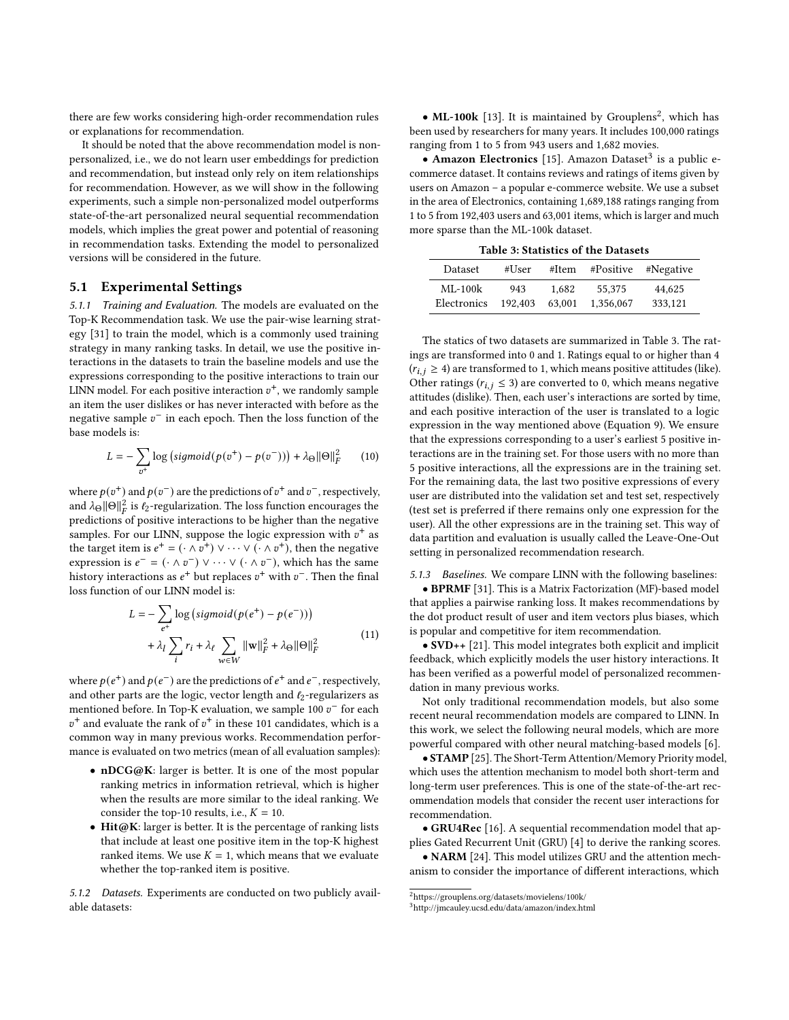there are few works considering high-order recommendation rules or explanations for recommendation.

It should be noted that the above recommendation model is nonpersonalized, i.e., we do not learn user embeddings for prediction and recommendation, but instead only rely on item relationships for recommendation. However, as we will show in the following experiments, such a simple non-personalized model outperforms state-of-the-art personalized neural sequential recommendation models, which implies the great power and potential of reasoning in recommendation tasks. Extending the model to personalized versions will be considered in the future.

#### 5.1 Experimental Settings

5.1.1 Training and Evaluation. The models are evaluated on the Top-K Recommendation task. We use the pair-wise learning strategy [\[31\]](#page-9-23) to train the model, which is a commonly used training strategy in many ranking tasks. In detail, we use the positive interactions in the datasets to train the baseline models and use the expressions corresponding to the positive interactions to train our LINN model. For each positive interaction  $v^+$ , we randomly sample an item the user dislikes or has never interacted with before as the negative sample  $v^-$  in each epoch. Then the loss function of the base models is:

$$
L = -\sum_{v^{+}} \log \left( sigmoid(p(v^{+}) - p(v^{-}))\right) + \lambda_{\Theta} ||\Theta||_{F}^{2}
$$
 (10)

where  $p(v^{+})$  and  $p(v^{-})$  are the predictions of  $v^{+}$  and  $v^{-}$ , respectively, and  $\lambda_{\Theta} \| \Theta \|_F^2$  is  $\ell_2$ -regularization. The loss function encourages the predictions of positive interactions to be higher than the negative samples. For our LINN, suppose the logic expression with  $v^+$  as the target item is  $e^+ = (\cdot \wedge \overline{v^+}) \vee \cdots \vee (\cdot \wedge v^+)$ , then the negative expression is  $e^- = (\cdot \wedge v^-) \vee \cdots \vee (\cdot \wedge v^-)$ , which has the same history interactions as  $e^+$  but replaces  $v^+$  with  $v^-$ . Then the final loss function of our LINN model is:

$$
L = -\sum_{e^{+}} \log \left( sigmoid(p(e^{+}) - p(e^{-}))\right)
$$
  
+  $\lambda_{l} \sum_{i} r_{i} + \lambda_{\ell} \sum_{w \in W} ||w||_{F}^{2} + \lambda_{\Theta} ||\Theta||_{F}^{2}$  (11)

where  $p(e^+)$  and  $p(e^-)$  are the predictions of  $e^+$  and  $e^-$ , respectively, and other parts are the logic, vector length and  $\ell_2$ -regularizers as mentioned before. In Top-K evaluation, we sample 100  $v^-$  for each  $v^+$  and evaluate the rank of  $v^+$  in these 101 candidates, which is a common way in many previous works. Recommendation performance is evaluated on two metrics (mean of all evaluation samples):

- nDCG@K: larger is better. It is one of the most popular ranking metrics in information retrieval, which is higher when the results are more similar to the ideal ranking. We consider the top-10 results, i.e.,  $K = 10$ .
- Hit@K: larger is better. It is the percentage of ranking lists that include at least one positive item in the top-K highest ranked items. We use  $K = 1$ , which means that we evaluate whether the top-ranked item is positive.

5.1.2 Datasets. Experiments are conducted on two publicly available datasets:

• ML-100 $k$  [\[13\]](#page-9-30). It is maintained by Grouplens<sup>[2](#page-6-0)</sup>, which has been used by researchers for many years. It includes 100,000 ratings ranging from 1 to 5 from 943 users and 1,682 movies.

 $\bullet$  Amazon Electronics [\[15\]](#page-9-31). Amazon Dataset<sup>[3](#page-6-1)</sup> is a public ecommerce dataset. It contains reviews and ratings of items given by users on Amazon – a popular e-commerce website. We use a subset in the area of Electronics, containing 1,689,188 ratings ranging from 1 to 5 from 192,403 users and 63,001 items, which is larger and much more sparse than the ML-100k dataset.

Table 3: Statistics of the Datasets

<span id="page-6-2"></span>

| Dataset     | #User   | #Item  | #Positive | #Negative |
|-------------|---------|--------|-----------|-----------|
| $ML-100k$   | 943     | 1.682  | 55.375    | 44.625    |
| Electronics | 192.403 | 63,001 | 1.356,067 | 333.121   |

The statics of two datasets are summarized in Table [3.](#page-6-2) The ratings are transformed into 0 and 1. Ratings equal to or higher than 4  $(r_{i,j} \geq 4)$  are transformed to 1, which means positive attitudes (like). Other ratings ( $r_{i,j} \leq 3$ ) are converted to 0, which means negative attitudes (dislike). Then, each user's interactions are sorted by time, and each positive interaction of the user is translated to a logic expression in the way mentioned above (Equation [9\)](#page-5-3). We ensure that the expressions corresponding to a user's earliest 5 positive interactions are in the training set. For those users with no more than 5 positive interactions, all the expressions are in the training set. For the remaining data, the last two positive expressions of every user are distributed into the validation set and test set, respectively (test set is preferred if there remains only one expression for the user). All the other expressions are in the training set. This way of data partition and evaluation is usually called the Leave-One-Out setting in personalized recommendation research.

5.1.3 Baselines. We compare LINN with the following baselines:

• BPRMF [\[31\]](#page-9-23). This is a Matrix Factorization (MF)-based model that applies a pairwise ranking loss. It makes recommendations by the dot product result of user and item vectors plus biases, which is popular and competitive for item recommendation.

• SVD++ [\[21\]](#page-9-32). This model integrates both explicit and implicit feedback, which explicitly models the user history interactions. It has been verified as a powerful model of personalized recommendation in many previous works.

Not only traditional recommendation models, but also some recent neural recommendation models are compared to LINN. In this work, we select the following neural models, which are more powerful compared with other neural matching-based models [\[6\]](#page-9-33).

• STAMP [\[25\]](#page-9-34). The Short-Term Attention/Memory Priority model, which uses the attention mechanism to model both short-term and long-term user preferences. This is one of the state-of-the-art recommendation models that consider the recent user interactions for recommendation.

• GRU4Rec [\[16\]](#page-9-35). A sequential recommendation model that applies Gated Recurrent Unit (GRU) [\[4\]](#page-9-36) to derive the ranking scores.

• NARM [\[24\]](#page-9-37). This model utilizes GRU and the attention mechanism to consider the importance of different interactions, which

<span id="page-6-0"></span> $^2$ <https://grouplens.org/datasets/movielens/100k/>

<span id="page-6-1"></span><sup>3</sup><http://jmcauley.ucsd.edu/data/amazon/index.html>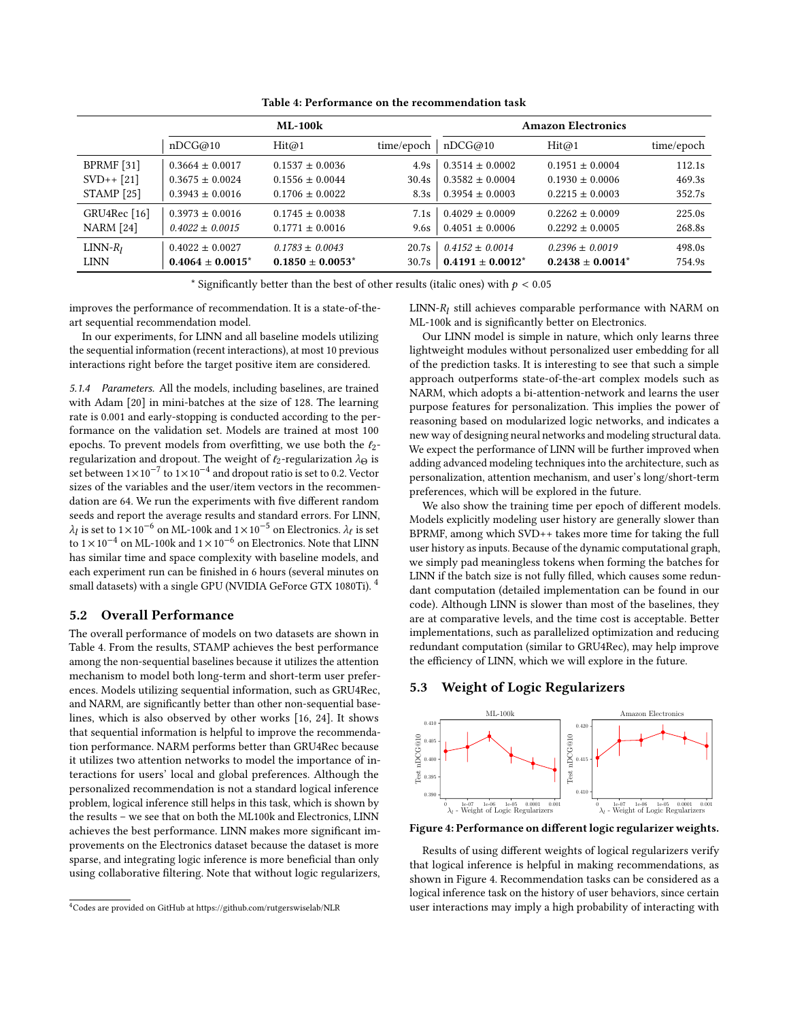<span id="page-7-1"></span>

|                         | <b>ML-100k</b>        |                       | <b>Amazon Electronics</b> |                       |                       |            |
|-------------------------|-----------------------|-----------------------|---------------------------|-----------------------|-----------------------|------------|
|                         | nDCG@10               | Hit@1                 | time/epoch                | nDCG@10               | Hit@1                 | time/epoch |
| BPRMF [31]              | $0.3664 \pm 0.0017$   | $0.1537 \pm 0.0036$   | 4.9s                      | $0.3514 \pm 0.0002$   | $0.1951 \pm 0.0004$   | 112.1s     |
| $SVD++ [21]$            | $0.3675 \pm 0.0024$   | $0.1556 \pm 0.0044$   | 30.4s                     | $0.3582 \pm 0.0004$   | $0.1930 \pm 0.0006$   | 469.3s     |
| <b>STAMP</b> [25]       | $0.3943 \pm 0.0016$   | $0.1706 \pm 0.0022$   | 8.3s                      | $0.3954 \pm 0.0003$   | $0.2215 \pm 0.0003$   | 352.7s     |
| GRU4Rec <sup>[16]</sup> | $0.3973 \pm 0.0016$   | $0.1745 \pm 0.0038$   | 7.1s                      | $0.4029 \pm 0.0009$   | $0.2262 \pm 0.0009$   | 225.0s     |
| <b>NARM</b> [24]        | $0.4022 \pm 0.0015$   | $0.1771 \pm 0.0016$   | 9.6s                      | $0.4051 \pm 0.0006$   | $0.2292 \pm 0.0005$   | 268.8s     |
| $LINN-R_1$              | $0.4022 \pm 0.0027$   | $0.1783 + 0.0043$     | 20.7s                     | $0.4152 \pm 0.0014$   | $0.2396 \pm 0.0019$   | 498.0s     |
| <b>LINN</b>             | $0.4064 \pm 0.0015^*$ | $0.1850 \pm 0.0053^*$ | 30.7s                     | $0.4191 \pm 0.0012^*$ | $0.2438 \pm 0.0014^*$ | 754.9s     |

Table 4: Performance on the recommendation task

\* Significantly better than the best of other results (italic ones) with  $p < 0.05$ 

improves the performance of recommendation. It is a state-of-theart sequential recommendation model.

In our experiments, for LINN and all baseline models utilizing the sequential information (recent interactions), at most 10 previous interactions right before the target positive item are considered.

5.1.4 Parameters. All the models, including baselines, are trained with Adam [\[20\]](#page-9-38) in mini-batches at the size of 128. The learning rate is 0.001 and early-stopping is conducted according to the performance on the validation set. Models are trained at most 100 epochs. To prevent models from overfitting, we use both the  $\ell_2$ regularization and dropout. The weight of  $\ell_2$ -regularization  $\lambda_{\Theta}$  is set between  $1 \times 10^{-7}$  to  $1 \times 10^{-4}$  and dropout ratio is set to 0.2. Vector sizes of the variables and the user/item vectors in the recommendation are 64. We run the experiments with five different random seeds and report the average results and standard errors. For LINN,  $\lambda_l$  is set to  $1\times10^{-6}$  on ML-100k and  $1\times10^{-5}$  on Electronics.  $\lambda_\ell$  is set to  $1 \times 10^{-4}$  on ML-100k and  $1 \times 10^{-6}$  on Electronics. Note that LINN has similar time and space complexity with baseline models, and each experiment run can be finished in 6 hours (several minutes on small datasets) with a single GPU (NVIDIA GeForce GTX 1080Ti).<sup>[4](#page-7-0)</sup>

## 5.2 Overall Performance

The overall performance of models on two datasets are shown in Table [4.](#page-7-1) From the results, STAMP achieves the best performance among the non-sequential baselines because it utilizes the attention mechanism to model both long-term and short-term user preferences. Models utilizing sequential information, such as GRU4Rec, and NARM, are significantly better than other non-sequential baselines, which is also observed by other works [\[16,](#page-9-35) [24\]](#page-9-37). It shows that sequential information is helpful to improve the recommendation performance. NARM performs better than GRU4Rec because it utilizes two attention networks to model the importance of interactions for users' local and global preferences. Although the personalized recommendation is not a standard logical inference problem, logical inference still helps in this task, which is shown by the results – we see that on both the ML100k and Electronics, LINN achieves the best performance. LINN makes more significant improvements on the Electronics dataset because the dataset is more sparse, and integrating logic inference is more beneficial than only using collaborative filtering. Note that without logic regularizers,

 $LINN-R_l$  still achieves comparable performance with NARM on ML-100k and is significantly better on Electronics.

Our LINN model is simple in nature, which only learns three lightweight modules without personalized user embedding for all of the prediction tasks. It is interesting to see that such a simple approach outperforms state-of-the-art complex models such as NARM, which adopts a bi-attention-network and learns the user purpose features for personalization. This implies the power of reasoning based on modularized logic networks, and indicates a new way of designing neural networks and modeling structural data. We expect the performance of LINN will be further improved when adding advanced modeling techniques into the architecture, such as personalization, attention mechanism, and user's long/short-term preferences, which will be explored in the future.

We also show the training time per epoch of different models. Models explicitly modeling user history are generally slower than BPRMF, among which SVD++ takes more time for taking the full user history as inputs. Because of the dynamic computational graph, we simply pad meaningless tokens when forming the batches for LINN if the batch size is not fully filled, which causes some redundant computation (detailed implementation can be found in our code). Although LINN is slower than most of the baselines, they are at comparative levels, and the time cost is acceptable. Better implementations, such as parallelized optimization and reducing redundant computation (similar to GRU4Rec), may help improve the efficiency of LINN, which we will explore in the future.

## 5.3 Weight of Logic Regularizers

<span id="page-7-2"></span>

Figure 4: Performance on different logic regularizer weights.

Results of using different weights of logical regularizers verify that logical inference is helpful in making recommendations, as shown in Figure [4.](#page-7-2) Recommendation tasks can be considered as a logical inference task on the history of user behaviors, since certain user interactions may imply a high probability of interacting with

<span id="page-7-0"></span><sup>4</sup>Codes are provided on GitHub at<https://github.com/rutgerswiselab/NLR>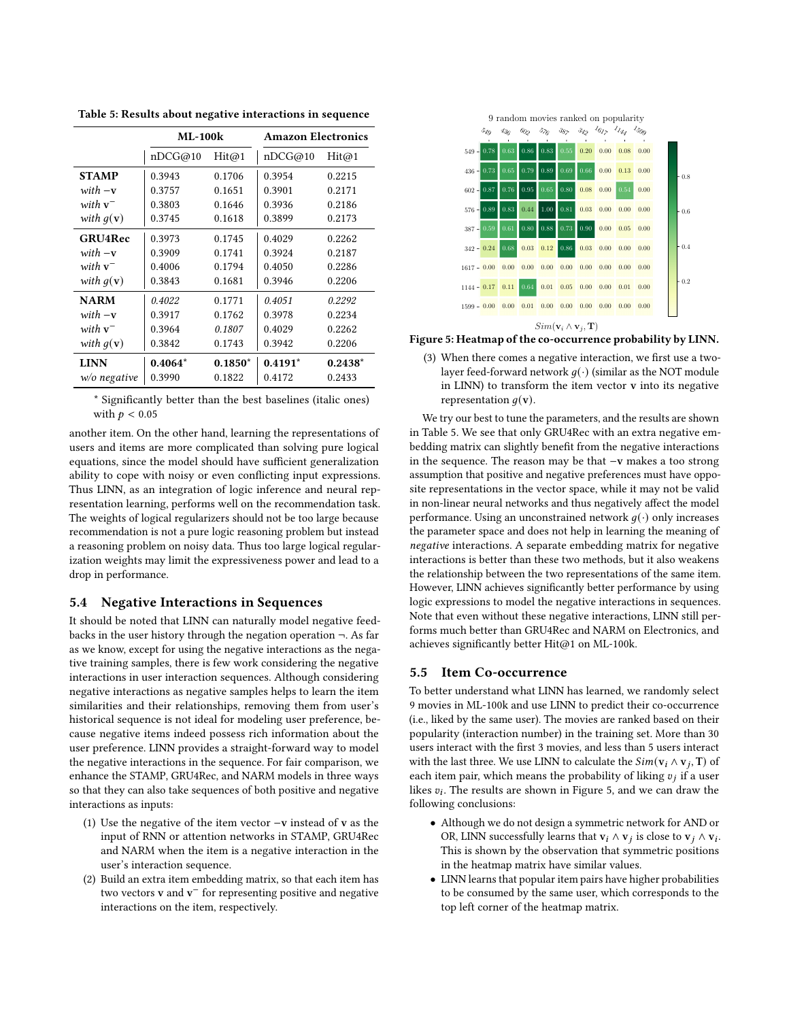<span id="page-8-0"></span>Table 5: Results about negative interactions in sequence

|                      | $MI - 100k$ |           | <b>Amazon Electronics</b> |           |  |
|----------------------|-------------|-----------|---------------------------|-----------|--|
|                      | nDCG@10     | Hit@1     | nDCG@10                   | Hit@1     |  |
| <b>STAMP</b>         | 0.3943      | 0.1706    | 0.3954                    | 0.2215    |  |
| $with -v$            | 0.3757      | 0.1651    | 0.3901                    | 0.2171    |  |
| with $v^-$           | 0.3803      | 0.1646    | 0.3936                    | 0.2186    |  |
| with $q(\mathbf{v})$ | 0.3745      | 0.1618    | 0.3899                    | 0.2173    |  |
| <b>GRU4Rec</b>       | 0.3973      | 0.1745    | 0.4029                    | 0.2262    |  |
| $with -v$            | 0.3909      | 0.1741    | 0.3924                    | 0.2187    |  |
| with $v^-$           | 0.4006      | 0.1794    | 0.4050                    | 0.2286    |  |
| with $q(\mathbf{v})$ | 0.3843      | 0.1681    | 0.3946                    | 0.2206    |  |
| <b>NARM</b>          | 0.4022      | 0.1771    | 0.4051                    | 0.2292    |  |
| $with -v$            | 0.3917      | 0.1762    | 0.3978                    | 0.2234    |  |
| with $v^-$           | 0.3964      | 0.1807    | 0.4029                    | 0.2262    |  |
| with $g(\mathbf{v})$ | 0.3842      | 0.1743    | 0.3942                    | 0.2206    |  |
| <b>LINN</b>          | $0.4064*$   | $0.1850*$ | $0.4191*$                 | $0.2438*$ |  |
| $w$ /o negative      | 0.3990      | 0.1822    | 0.4172                    | 0.2433    |  |

\* Significantly better than the best baselines (italic ones) with  $p < 0.05$ 

another item. On the other hand, learning the representations of users and items are more complicated than solving pure logical equations, since the model should have sufficient generalization ability to cope with noisy or even conflicting input expressions. Thus LINN, as an integration of logic inference and neural representation learning, performs well on the recommendation task. The weights of logical regularizers should not be too large because recommendation is not a pure logic reasoning problem but instead a reasoning problem on noisy data. Thus too large logical regularization weights may limit the expressiveness power and lead to a drop in performance.

#### 5.4 Negative Interactions in Sequences

It should be noted that LINN can naturally model negative feedbacks in the user history through the negation operation  $\neg$ . As far as we know, except for using the negative interactions as the negative training samples, there is few work considering the negative interactions in user interaction sequences. Although considering negative interactions as negative samples helps to learn the item similarities and their relationships, removing them from user's historical sequence is not ideal for modeling user preference, because negative items indeed possess rich information about the user preference. LINN provides a straight-forward way to model the negative interactions in the sequence. For fair comparison, we enhance the STAMP, GRU4Rec, and NARM models in three ways so that they can also take sequences of both positive and negative interactions as inputs:

- (1) Use the negative of the item vector −v instead of v as the input of RNN or attention networks in STAMP, GRU4Rec and NARM when the item is a negative interaction in the user's interaction sequence.
- (2) Build an extra item embedding matrix, so that each item has two vectors **v** and  $v^-$  for representing positive and negative interactions on the item, respectively.

<span id="page-8-1"></span>

Figure 5: Heatmap of the co-occurrence probability by LINN.

(3) When there comes a negative interaction, we first use a twolayer feed-forward network  $g(\cdot)$  (similar as the NOT module in LINN) to transform the item vector v into its negative representation  $q(\mathbf{v})$ .

We try our best to tune the parameters, and the results are shown in Table [5.](#page-8-0) We see that only GRU4Rec with an extra negative embedding matrix can slightly benefit from the negative interactions in the sequence. The reason may be that −v makes a too strong assumption that positive and negative preferences must have opposite representations in the vector space, while it may not be valid in non-linear neural networks and thus negatively affect the model performance. Using an unconstrained network  $q(\cdot)$  only increases the parameter space and does not help in learning the meaning of negative interactions. A separate embedding matrix for negative interactions is better than these two methods, but it also weakens the relationship between the two representations of the same item. However, LINN achieves significantly better performance by using logic expressions to model the negative interactions in sequences. Note that even without these negative interactions, LINN still performs much better than GRU4Rec and NARM on Electronics, and achieves significantly better Hit@1 on ML-100k.

### 5.5 Item Co-occurrence

To better understand what LINN has learned, we randomly select 9 movies in ML-100k and use LINN to predict their co-occurrence (i.e., liked by the same user). The movies are ranked based on their popularity (interaction number) in the training set. More than 30 users interact with the first 3 movies, and less than 5 users interact with the last three. We use LINN to calculate the  $Sim(\mathbf{v}_i \wedge \mathbf{v}_j, \mathbf{T})$  of each item pair, which means the probability of liking  $v_j$  if a user likes  $v_i$ . The results are shown in Figure [5,](#page-8-1) and we can draw the following conclusions:

- Although we do not design a symmetric network for AND or OR, LINN successfully learns that  $v_i \wedge v_j$  is close to  $v_j \wedge v_i$ . This is shown by the observation that symmetric positions in the heatmap matrix have similar values.
- LINN learns that popular item pairs have higher probabilities to be consumed by the same user, which corresponds to the top left corner of the heatmap matrix.